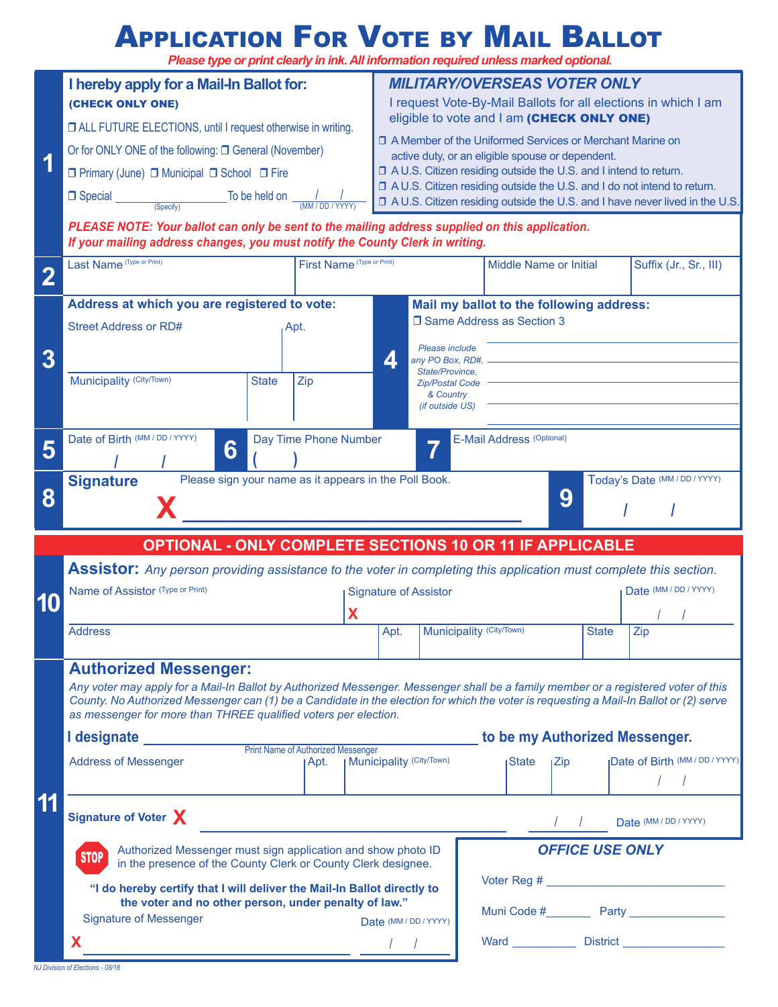### **APPLICATION FOR VOTE BY MAIL BALLOT**

*Please type or print clearly in ink. All information required unless marked optional.*

|                                                                 | I hereby apply for a Mail-In Ballot for:<br>(CHECK ONLY ONE)                                                                                                                                                                                                                                                                                                                    |                                   | <b>MILITARY/OVERSEAS VOTER ONLY</b><br>I request Vote-By-Mail Ballots for all elections in which I am<br>eligible to vote and I am (CHECK ONLY ONE)<br>□ A Member of the Uniformed Services or Merchant Marine on<br>active duty, or an eligible spouse or dependent.<br>□ A U.S. Citizen residing outside the U.S. and I intend to return.<br>□ A U.S. Citizen residing outside the U.S. and I do not intend to return. |                                                                                                                                                                            |                                                         |             |  |                                                     |
|-----------------------------------------------------------------|---------------------------------------------------------------------------------------------------------------------------------------------------------------------------------------------------------------------------------------------------------------------------------------------------------------------------------------------------------------------------------|-----------------------------------|--------------------------------------------------------------------------------------------------------------------------------------------------------------------------------------------------------------------------------------------------------------------------------------------------------------------------------------------------------------------------------------------------------------------------|----------------------------------------------------------------------------------------------------------------------------------------------------------------------------|---------------------------------------------------------|-------------|--|-----------------------------------------------------|
| 1                                                               | □ ALL FUTURE ELECTIONS, until I request otherwise in writing.<br>Or for ONLY ONE of the following: □ General (November)<br>□ Primary (June) □ Municipal □ School □ Fire<br>$\Box$ Special<br>To be held on $\frac{1}{(MM/DD/YYYY)}$                                                                                                                                             |                                   |                                                                                                                                                                                                                                                                                                                                                                                                                          |                                                                                                                                                                            |                                                         |             |  |                                                     |
|                                                                 | (Specify)<br>□ A U.S. Citizen residing outside the U.S. and I have never lived in the U.S.<br>PLEASE NOTE: Your ballot can only be sent to the mailing address supplied on this application.<br>If your mailing address changes, you must notify the County Clerk in writing.                                                                                                   |                                   |                                                                                                                                                                                                                                                                                                                                                                                                                          |                                                                                                                                                                            |                                                         |             |  |                                                     |
|                                                                 | Last Name (Type or Print)<br>First Name (Type or Print)                                                                                                                                                                                                                                                                                                                         |                                   |                                                                                                                                                                                                                                                                                                                                                                                                                          |                                                                                                                                                                            | <b>Middle Name or Initial</b><br>Suffix (Jr., Sr., III) |             |  |                                                     |
| 3                                                               | Address at which you are registered to vote:<br><b>Street Address or RD#</b><br>Apt.                                                                                                                                                                                                                                                                                            |                                   | Δ.                                                                                                                                                                                                                                                                                                                                                                                                                       | Mail my ballot to the following address:<br>□ Same Address as Section 3<br>Please include<br>any PO Box, RD#,                                                              |                                                         |             |  |                                                     |
|                                                                 | Municipality (City/Town)<br>Zip<br><b>State</b>                                                                                                                                                                                                                                                                                                                                 |                                   |                                                                                                                                                                                                                                                                                                                                                                                                                          | State/Province.<br><b>Zip/Postal Code</b><br>& Country<br><i>(if outside US)</i>                                                                                           |                                                         |             |  |                                                     |
| 5                                                               | Date of Birth (MM / DD / YYYY)<br>E-Mail Address (Optional)<br>Day Time Phone Number<br>6                                                                                                                                                                                                                                                                                       |                                   |                                                                                                                                                                                                                                                                                                                                                                                                                          |                                                                                                                                                                            |                                                         |             |  |                                                     |
| 8                                                               | Please sign your name as it appears in the Poll Book.<br><b>Signature</b>                                                                                                                                                                                                                                                                                                       |                                   |                                                                                                                                                                                                                                                                                                                                                                                                                          |                                                                                                                                                                            |                                                         | 9           |  | Today's Date (MM / DD / YYYY)                       |
| <b>OPTIONAL - ONLY COMPLETE SECTIONS 10 OR 11 IF APPLICABLE</b> |                                                                                                                                                                                                                                                                                                                                                                                 |                                   |                                                                                                                                                                                                                                                                                                                                                                                                                          |                                                                                                                                                                            |                                                         |             |  |                                                     |
| 10                                                              | Name of Assistor (Type or Print)                                                                                                                                                                                                                                                                                                                                                |                                   |                                                                                                                                                                                                                                                                                                                                                                                                                          | Assistor: Any person providing assistance to the voter in completing this application must complete this section.<br>Date (MM / DD / YYYY)<br><b>Signature of Assistor</b> |                                                         |             |  |                                                     |
|                                                                 | <b>Address</b>                                                                                                                                                                                                                                                                                                                                                                  |                                   | Apt.                                                                                                                                                                                                                                                                                                                                                                                                                     | Municipality (City/Town)<br><b>State</b><br>Zip                                                                                                                            |                                                         |             |  |                                                     |
|                                                                 | <b>Authorized Messenger:</b><br>Any voter may apply for a Mail-In Ballot by Authorized Messenger. Messenger shall be a family member or a registered voter of this<br>County. No Authorized Messenger can (1) be a Candidate in the election for which the voter is requesting a Mail-In Ballot or (2) serve<br>as messenger for more than THREE qualified voters per election. |                                   |                                                                                                                                                                                                                                                                                                                                                                                                                          |                                                                                                                                                                            |                                                         |             |  |                                                     |
|                                                                 | I designate <b>contract to the set of the set of the set of the set of the set of the set of the set of the set of the set of the set of the set of the set of the set of the set of the set of the set of the set of the set of</b><br>to be my Authorized Messenger.<br>Print Name of Authorized Messenger                                                                    |                                   |                                                                                                                                                                                                                                                                                                                                                                                                                          |                                                                                                                                                                            |                                                         |             |  |                                                     |
|                                                                 | <b>Address of Messenger</b><br>⊺Apt.                                                                                                                                                                                                                                                                                                                                            | <b>I Municipality (City/Town)</b> |                                                                                                                                                                                                                                                                                                                                                                                                                          |                                                                                                                                                                            | ıState                                                  | <b>IZip</b> |  | <b>Date of Birth (MM / DD / YYYY)</b><br>$\sqrt{ }$ |
| 11                                                              | Signature of Voter X<br>Date (MM / DD / YYYY)                                                                                                                                                                                                                                                                                                                                   |                                   |                                                                                                                                                                                                                                                                                                                                                                                                                          |                                                                                                                                                                            |                                                         |             |  |                                                     |
|                                                                 | Authorized Messenger must sign application and show photo ID<br><b>STOP</b><br>in the presence of the County Clerk or County Clerk designee.                                                                                                                                                                                                                                    |                                   | <b>OFFICE USE ONLY</b>                                                                                                                                                                                                                                                                                                                                                                                                   |                                                                                                                                                                            |                                                         |             |  |                                                     |
|                                                                 | "I do hereby certify that I will deliver the Mail-In Ballot directly to<br>the voter and no other person, under penalty of law."<br><b>Signature of Messenger</b>                                                                                                                                                                                                               |                                   |                                                                                                                                                                                                                                                                                                                                                                                                                          |                                                                                                                                                                            |                                                         |             |  |                                                     |
|                                                                 | X                                                                                                                                                                                                                                                                                                                                                                               |                                   | Date (MM / DD / YYYY)                                                                                                                                                                                                                                                                                                                                                                                                    | Ward ______________ District __________________                                                                                                                            |                                                         |             |  |                                                     |

*NJ Division of Elections - 08/18*